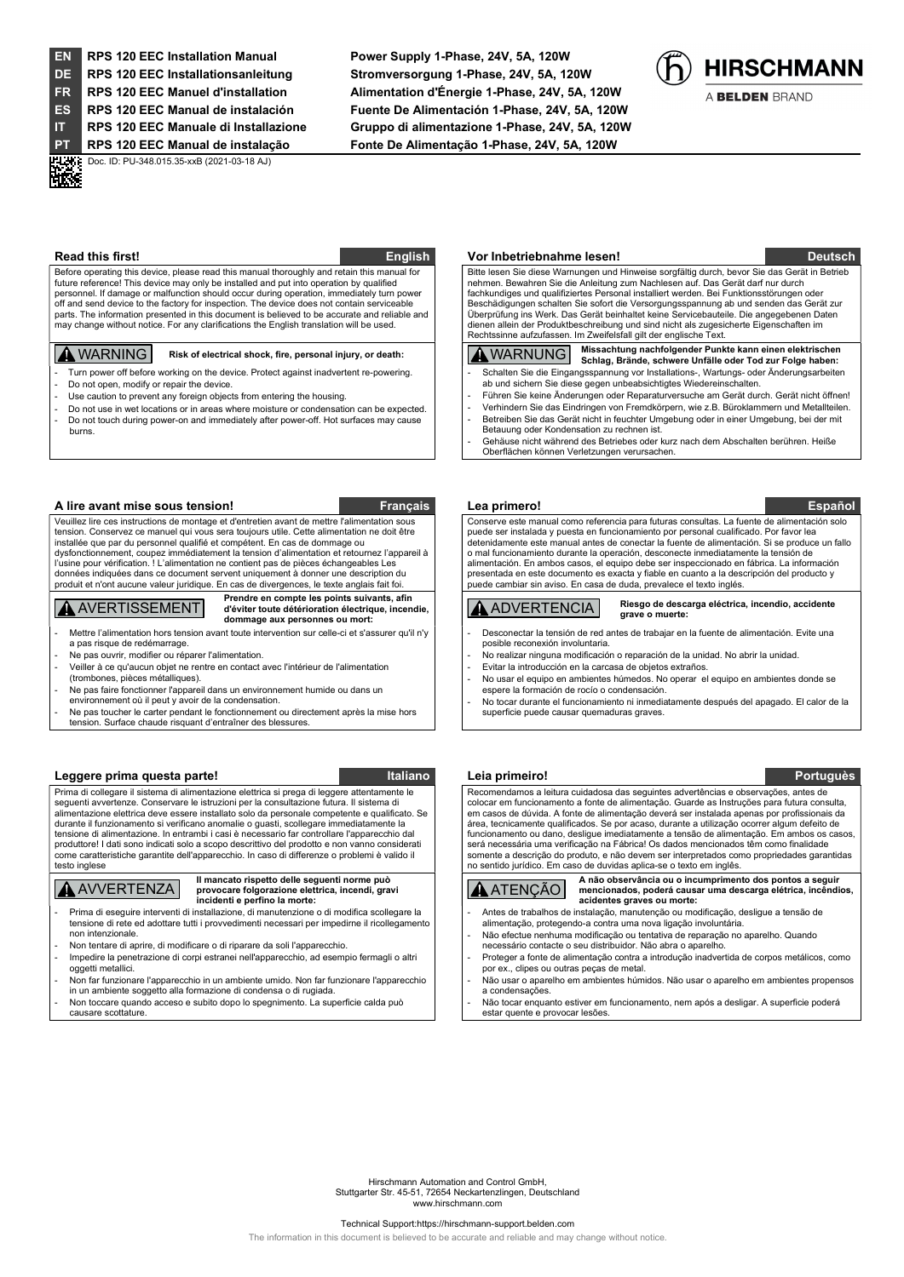HK.

EN RPS 120 EEC Installation Manual Power Supply 1-Phase, 24V, 5A, 120W DE RPS 120 EEC Installationsanleitung Stromversorgung 1-Phase, 24V, 5A, 120W FR RPS 120 EEC Manuel d'installation Alimentation d'Énergie 1-Phase, 24V, 5A, 120W ES RPS 120 EEC Manual de instalación Fuente De Alimentación 1-Phase, 24V, 5A, 120W IT RPS 120 EEC Manuale di Installazione Gruppo di alimentazione 1-Phase, 24V, 5A, 120W PT RPS 120 EEC Manual de instalação Fonte De Alimentação 1-Phase, 24V, 5A, 120W



A BELDEN BRAND

**PHATE** Doc. ID: PU-348.015.35-xxB (2021-03-18 AJ)

Before operating this device, please read this manual thoroughly and retain this manual for future reference! This device may only be installed and put into operation by qualified personnel. If damage or malfunction should occur during operation, immediately turn power off and send device to the factory for inspection. The device does not contain serviceable parts. The information presented in this document is believed to be accurate and reliable and may change without notice. For any clarifications the English translation will be used.

- Turn power off before working on the device. Protect against inadvertent re-powering. Do not open, modify or repair the device.
- Use caution to prevent any foreign objects from entering the housing.
- Do not use in wet locations or in areas where moisture or condensation can be expected. Do not touch during power-on and immediately after power-off. Hot surfaces may cause burns.

### A lire avant mise sous tension! Français Lea primero! Español

Veuillez lire ces instructions de montage et d'entretien avant de mettre l'alimentation sous tension. Conservez ce manuel qui vous sera toujours utile. Cette alimentation ne doit être installée que par du personnel qualifié et compétent. En cas de dommage ou dysfonctionnement, coupez immédiatement la tension d'alimentation et retournez l'appareil à l'usine pour vérification. ! L'alimentation ne contient pas de pièces échangeables Les es indiquées dans ce document servent uniquement à donner une description du produit et n'ont aucune valeur juridique. En cas de divergences, le texte anglais fait foi.

## **A** AVERTISSEMENT

Prendre en compte les points suivants, afin d'éviter toute détérioration électrique, incendie, dommage aux personnes ou mort:

Mettre l'alimentation hors tension avant toute intervention sur celle-ci et s'assurer qu'il n'y a pas risque de redémarrage.

- Ne pas ouvrir, modifier ou réparer l'alimentation.
- Veiller à ce qu'aucun objet ne rentre en contact avec l'intérieur de l'alimentation
- (trombones, pièces métalliques). Ne pas faire fonctionner l'appareil dans un environnement humide ou dans un
- environnement où il peut y avoir de la condensation.
- Ne pas toucher le carter pendant le fonctionnement ou directement après la mise hors
- tension. Surface chaude risquant d'entraîner des blessures.

### Leggere prima questa parte! Italiano Italiano Leia primeiro! Portuguès en la primeiro en la primeira en la pri

Prima di collegare il sistema di alimentazione elettrica si prega di leggere attentamente le seguenti avvertenze. Conservare le istruzioni per la consultazione futura. Il sistema di alimentazione elettrica deve essere installato solo da personale competente e qualificato. Se durante il funzionamento si verificano anomalie o guasti, scollegare immediatamente la tensione di alimentazione. In entrambi i casi è necessario far controllare l'apparecchio dal produttore! I dati sono indicati solo a scopo descrittivo del prodotto e non vanno considerati come caratteristiche garantite dell'apparecchio. In caso di differenze o problemi è valido il testo inglese

## AVVERTENZA

Il mancato rispetto delle seguenti norme può provocare folgorazione elettrica, incendi, gravi incidenti e perfino la morte:

- Prima di eseguire interventi di installazione, di manutenzione o di modifica scollegare la tensione di rete ed adottare tutti i provvedimenti necessari per impedirne il ricollegamento non intenzionale.
- Non tentare di aprire, di modificare o di riparare da soli l'apparecchio.
- Impedire la penetrazione di corpi estranei nell'apparecchio, ad esempio fermagli o altri oggetti metallici.
- Non far funzionare l'apparecchio in un ambiente umido. Non far funzionare l'apparecchio in un ambiente soggetto alla formazione di condensa o di rugiada.
- Non toccare quando acceso e subito dopo lo spegnimento. La superficie calda può

causare scottature.

### Read this first! **English World Indianal Community** Construction Community Construction Construction of the Deutsch

 Bitte lesen Sie diese Warnungen und Hinweise sorgfältig durch, bevor Sie das Gerät in Betrieb nehmen. Bewahren Sie die Anleitung zum Nachlesen auf. Das Gerät darf nur durch fachkundiges und qualifiziertes Personal installiert werden. Bei Funktionsstörungen oder Beschädigungen schalten Sie sofort die Versorgungsspannung ab und senden das Gerät zur<br>Überprüfung ins Werk. Das Gerät beinhaltet keine Servicebauteile. Die angegebenen Daten Überprüfung ins Werk. Das Gerät beinhaltet keine Servicebauteile. Die angegebenen Daten dienen allein der Produktbeschreibung und sind nicht als zugesicherte Eigenschaften im Rechtssinne aufzufassen. Im Zweifelsfall gilt der englische Text.

# WARNING Risk of electrical shock, fire, personal injury, or death: WARNUNG Missachtung nachfolgender Punkte kann einen elektrischen Schlag, Brände, schwere Unfälle oder Tod zur Folge haben:

- Schalten Sie die Eingangsspannung vor Installations-, Wartungs- oder Änderungsarbeiten ab und sichern Sie diese gegen unbeabsichtigtes Wiedereinschalten.
	- Führen Sie keine Änderungen oder Reparaturversuche am Gerät durch. Gerät nicht öffnen! - Verhindern Sie das Eindringen von Fremdkörpern, wie z.B. Büroklammern und Metallteilen. Betreiben Sie das Gerät nicht in feuchter Umgebung oder in einer Umgebung, bei der mit
	- Betauung oder Kondensation zu rechnen ist. - Gehäuse nicht während des Betriebes oder kurz nach dem Abschalten berühren. Heiße Oberflächen können Verletzungen verursachen.
	-

 Conserve este manual como referencia para futuras consultas. La fuente de alimentación solo puede ser instalada y puesta en funcionamiento por personal cualificado. Por favor lea detenidamente este manual antes de conectar la fuente de alimentación. Si se produce un fallo o mal funcionamiento durante la operación, desconecte inmediatamente la tensión de alimentación. En ambos casos, el equipo debe ser inspeccionado en fábrica. La información presentada en este documento es exacta y fiable en cuanto a la descripción del producto y puede cambiar sin aviso. En casa de duda, prevalece el texto inglés.

### ADVERTENCIA Riesgo de descarga eléctrica, incendio, accidente grave o muerte:

- Desconectar la tensión de red antes de trabajar en la fuente de alimentación. Evite una posible reconexión involuntaria.
- .<br>No realizar ninguna modificación o reparación de la unidad. No abrir la unidad Evitar la introducción en la carcasa de objetos extraños
- No usar el equipo en ambientes húmedos. No operar el equipo en ambientes donde se espere la formación de rocío o condensación.
- No tocar durante el funcionamiento ni inmediatamente después del apagado. El calor de la superficie puede causar quemaduras graves.

Recomendamos a leitura cuidadosa das seguintes advertências e observações, antes de colocar em funcionamento a fonte de alimentação. Guarde as Instruções para futura consulta, em casos de dúvida. A fonte de alimentação deverá ser instalada apenas por profissionais da área, tecnicamente qualificados. Se por acaso, durante a utilização ocorrer algum defeito de funcionamento ou dano, desligue imediatamente a tensão de alimentação. Em ambos os casos, será necessária uma verificação na Fábrica! Os dados mencionados têm como finalidade somente a descrição do produto, e não devem ser interpretados como propriedades garantidas no sentido jurídico. Em caso de duvidas aplica-se o texto em inglês.



- ATENÇÃO A não observância ou o incumprimento dos pontos a seguir mencionados, poderá causar uma descarga elétrica, incêndios, acidentes graves ou morte:
- Antes de trabalhos de instalação, manutenção ou modificação, desligue a tensão de alimentação, protegendo-a contra uma nova ligação involuntária.
- Não efectue nenhuma modificação ou tentativa de reparação no aparelho. Quando necessário contacte o seu distribuidor. Não abra o aparelho.
- Proteger a fonte de alimentação contra a introdução inadvertida de corpos metálicos, como por ex., clipes ou outras peças de metal.
- Não usar o aparelho em ambientes húmidos. Não usar o aparelho em ambientes propensos a condensações.
- Não tocar enquanto estiver em funcionamento, nem após a desligar. A superficie poderá estar quente e provocar lesões.

Hirschmann Automation and Control GmbH, Stuttgarter Str. 45-51, 72654 Neckartenzlingen, Deutschland www.hirschmann.com

### Technical Support:https://hirschmann-support.belden.com

The information in this document is believed to be accurate and reliable and may change without notice.